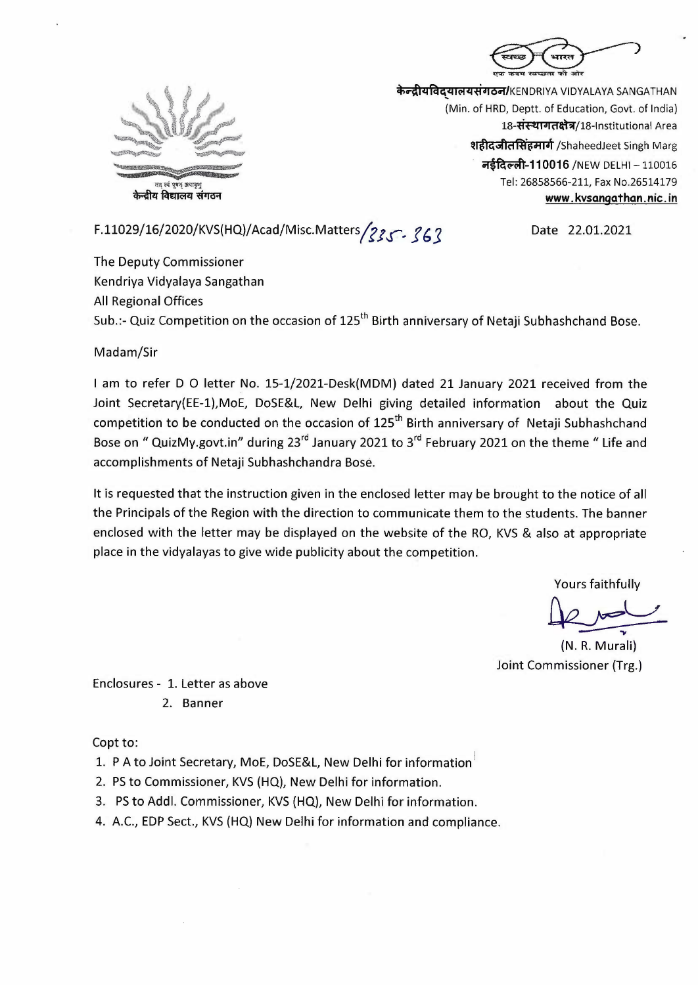



**केन्द्रीयविदयालयसंगठन/**KENDRIYA VIDYALAYA SANGATHAN (Min. of HRD, Deptt. of Education, Govt. of India) 18-संस्थागतक्षेत्र/18-Institutional Area श**हीदजीतसिंहमार्ग** /ShaheedJeet Singh Marg **नईदिल्ली-110016** /NEW DELHI - 110016 Tel: 26858566-211, Fax No.26514179 **www. kvsangathan. nic. in** 

F.11029/16/2020/KVS(HQ)/Acad/Misc.Matters *22.61.2021* Date 22.01.2021

The Deputy Commissioner Kendriya Vidyalaya Sangathan All Regional Offices Sub.:- Quiz Competition on the occasion of 125<sup>th</sup> Birth anniversary of Netaji Subhashchand Bose.

Madam/Sir

I am to refer D O letter No. 15-1/2021-Desk(MDM) dated 21 January 2021 received from the Joint Secretary(EE-1),MoE, DoSE&L, New Delhi giving detailed information about the Quiz competition to be conducted on the occasion of 125<sup>th</sup> Birth anniversary of Netaji Subhashchand Bose on " QuizMy.govt.in" during 23<sup>rd</sup> January 2021 to 3<sup>rd</sup> February 2021 on the theme " Life and accomplishments of Netaji Subhashchandra Bose.

It is requested that the instruction given in the enclosed letter may be brought to the notice of all the Principals of the Region with the direction to communicate them to the students. The banner enclosed with the letter may be displayed on the website of the RO, KVS & also at appropriate place in the vidyalayas to give wide publicity about the competition.

Yours faithfully

so at appropr appropriate<br>spropriate<br>fractional proper<br>R. Murali)<br>ioner (Trg.)  $U$ </u>

(N. R. Murali) Joint Commissioner (Trg.)

Enclosures - 1. Letter as above 2. Banner

Copt to:

1. P A to Joint Secretary, MoE, DoSE&L, New Delhi for information

- 2. PS to Commissioner, KVS (HQ), New Delhi for information.
- 3. PS to Addi. Commissioner, KVS (HQ), New Delhi for information.
- 4. A.C., EDP Sect., KVS (HQ) New Delhi for information and compliance.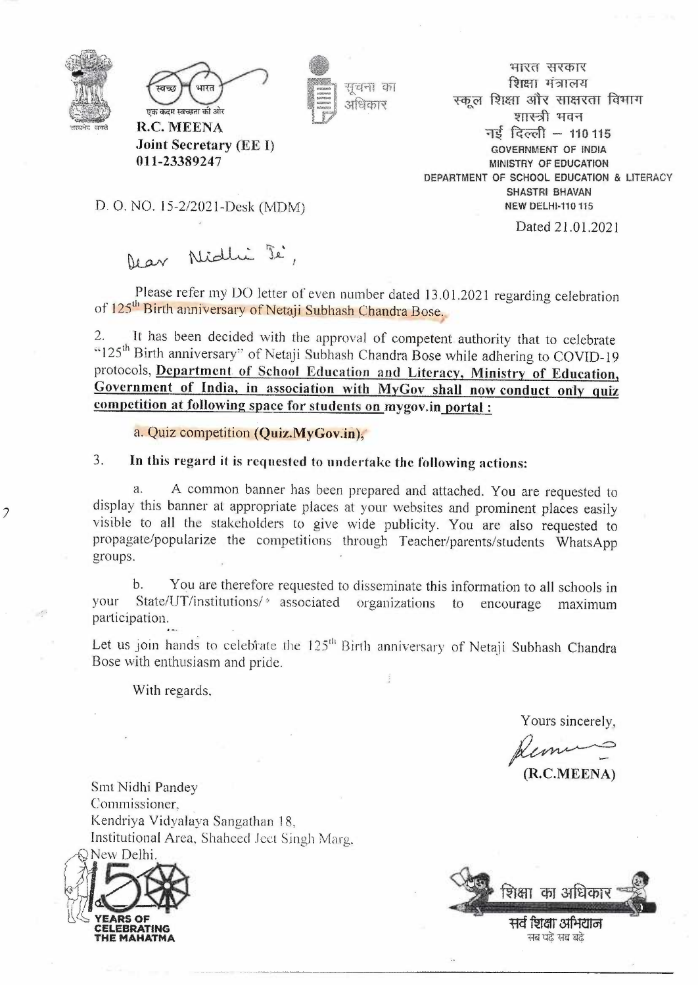

7



**.Ioint Secretary (EE** I)

**011-23389247** 

सुचना का आंधिकार

भारत सरकार **शिक्षा** मंत्रालय स्कल शिक्षा और साक्षरता विभाग शास्त्री भवन **~, ~~ - 110115 GOVERNMENT OF INDIA MINISTRY OF EDUCATION DEPARTMENT OF SCHOOL EDUCATION** & **LITERACY SHASTRI BHAVAN NEW DELHI-110 115** 

Dated 21.01.2021

D. 0. NO. 15-2/2021-Desk (MDM)

Dear Nidhi Je,

Please refer my DO letter of even number dated 13.01.2021 regarding celebration of 125<sup>th</sup> Birth anniversary of Netaji Subhash Chandra Bose.

2. It has been decided with the approval of competent authority that to celebrate "125<sup>th</sup> Birth anniversary" of Netaji Subhash Chandra Bose while adhering to COVID-19 protocols, **Department of Schoof Education and Literacy. Ministry of Education, Government of India, in association with MyGov shall now conduct on'ly quiz competition at following space for students on mygov.in portal :** 

a. Quiz competition (Quiz.MyGov.in),

3. **In this regard it is requested to undertake the following actions:** 

a. A common banner has been prepared and attached. You are requested to display this banner at appropriate places at your websites and prominent places easily visible to all the stakeholders to give wide publicity. You are also requested to propagate/popularize the competitions through Teacher/parents/students WhatsApp groups.

b. You are therefore requested to disseminate this information to all schools in your State/UT/institutions/ *\** associated organizations to encourage maximum participation.

Let us join hands to celebrate the 125<sup>th</sup> Birth anniversary of Netaji Subhash Chandra Bose with enthusiasm and pride.

With regards.

Yours sincerely,

Subhash Chandra<br> *Yours sincerely,*<br> *Remu*<br> **(R.C.MEENA)** 

**(R.C.MEENA)** 

Smt Nidhi Pandey Commissioner, Kendriya Vidyalaya Sangathan 18, Institutional Area, Shaheed Ject Singh Marg,